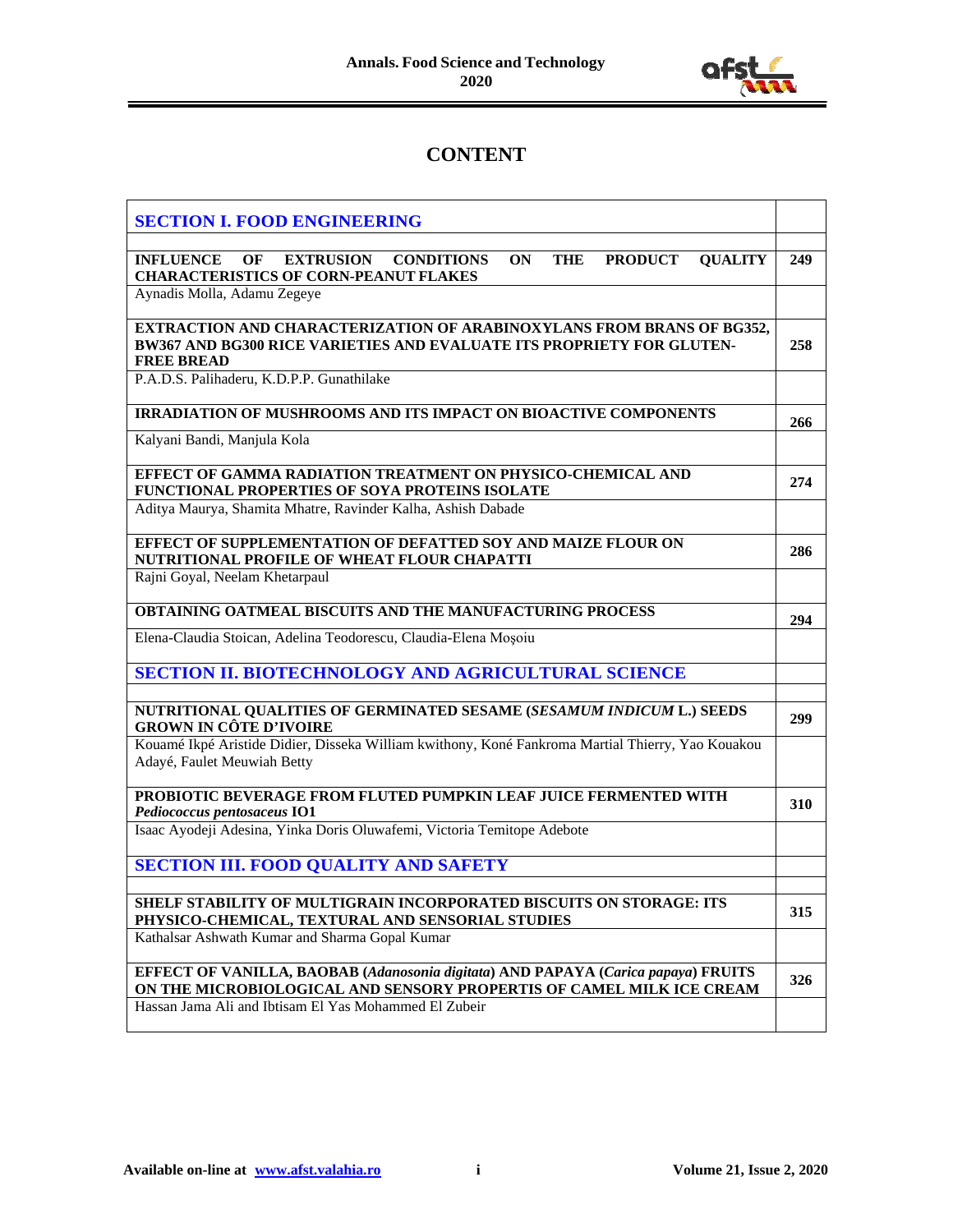

## **CONTENT**

| <b>SECTION I. FOOD ENGINEERING</b>                                                                                                                                         |     |
|----------------------------------------------------------------------------------------------------------------------------------------------------------------------------|-----|
| OF EXTRUSION CONDITIONS<br><b>INFLUENCE</b><br>ON<br><b>THE</b><br><b>PRODUCT</b><br><b>OUALITY</b><br><b>CHARACTERISTICS OF CORN-PEANUT FLAKES</b>                        | 249 |
| Aynadis Molla, Adamu Zegeye                                                                                                                                                |     |
| <b>EXTRACTION AND CHARACTERIZATION OF ARABINOXYLANS FROM BRANS OF BG352,</b><br>BW367 AND BG300 RICE VARIETIES AND EVALUATE ITS PROPRIETY FOR GLUTEN-<br><b>FREE BREAD</b> | 258 |
| P.A.D.S. Palihaderu, K.D.P.P. Gunathilake                                                                                                                                  |     |
| <b>IRRADIATION OF MUSHROOMS AND ITS IMPACT ON BIOACTIVE COMPONENTS</b>                                                                                                     | 266 |
| Kalyani Bandi, Manjula Kola                                                                                                                                                |     |
| EFFECT OF GAMMA RADIATION TREATMENT ON PHYSICO-CHEMICAL AND<br>FUNCTIONAL PROPERTIES OF SOYA PROTEINS ISOLATE                                                              | 274 |
| Aditya Maurya, Shamita Mhatre, Ravinder Kalha, Ashish Dabade                                                                                                               |     |
| EFFECT OF SUPPLEMENTATION OF DEFATTED SOY AND MAIZE FLOUR ON<br>NUTRITIONAL PROFILE OF WHEAT FLOUR CHAPATTI                                                                | 286 |
| Rajni Goyal, Neelam Khetarpaul                                                                                                                                             |     |
| OBTAINING OATMEAL BISCUITS AND THE MANUFACTURING PROCESS                                                                                                                   | 294 |
| Elena-Claudia Stoican, Adelina Teodorescu, Claudia-Elena Moșoiu                                                                                                            |     |
| <b>SECTION II. BIOTECHNOLOGY AND AGRICULTURAL SCIENCE</b>                                                                                                                  |     |
| NUTRITIONAL QUALITIES OF GERMINATED SESAME (SESAMUM INDICUM L.) SEEDS<br><b>GROWN IN CÔTE D'IVOIRE</b>                                                                     | 299 |
| Kouamé Ikpé Aristide Didier, Disseka William kwithony, Koné Fankroma Martial Thierry, Yao Kouakou<br>Adayé, Faulet Meuwiah Betty                                           |     |
| PROBIOTIC BEVERAGE FROM FLUTED PUMPKIN LEAF JUICE FERMENTED WITH<br>Pediococcus pentosaceus IO1                                                                            | 310 |
| Isaac Ayodeji Adesina, Yinka Doris Oluwafemi, Victoria Temitope Adebote                                                                                                    |     |
| <b>SECTION III. FOOD QUALITY AND SAFETY</b>                                                                                                                                |     |
| SHELF STABILITY OF MULTIGRAIN INCORPORATED BISCUITS ON STORAGE: ITS<br>PHYSICO-CHEMICAL, TEXTURAL AND SENSORIAL STUDIES                                                    | 315 |
| Kathalsar Ashwath Kumar and Sharma Gopal Kumar                                                                                                                             |     |
| EFFECT OF VANILLA, BAOBAB (Adanosonia digitata) AND PAPAYA (Carica papaya) FRUITS<br>ON THE MICROBIOLOGICAL AND SENSORY PROPERTIS OF CAMEL MILK ICE CREAM                  | 326 |
| Hassan Jama Ali and Ibtisam El Yas Mohammed El Zubeir                                                                                                                      |     |